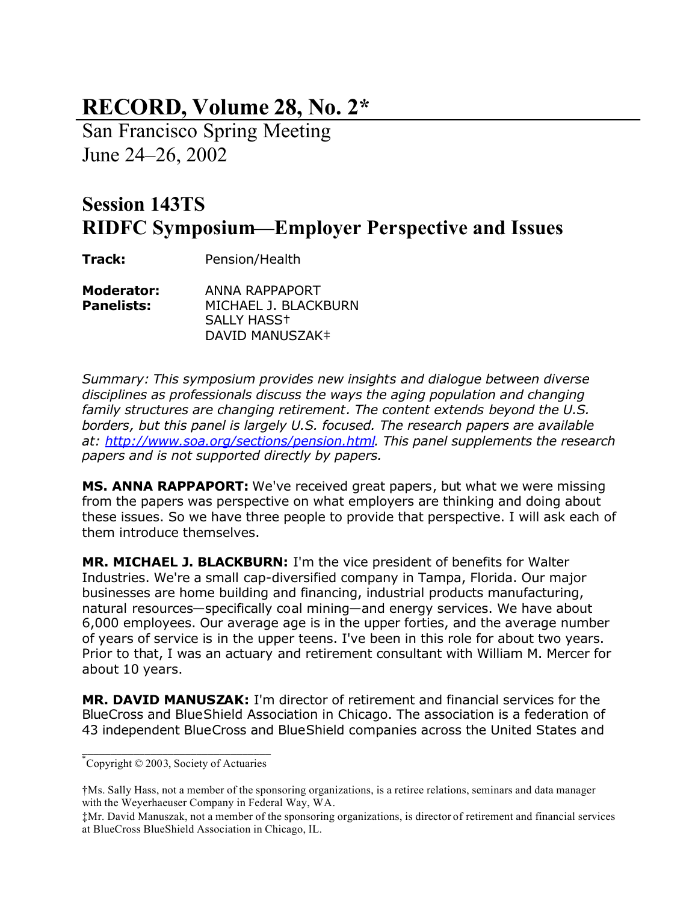# **RECORD, Volume 28, No. 2\***

San Francisco Spring Meeting June 24–26, 2002

## **Session 143TS RIDFC Symposium—Employer Perspective and Issues**

**Track:** Pension/Health

**Moderator:** ANNA RAPPAPORT **Panelists:** MICHAEL J. BLACKBURN SALLY HASS† DAVID MANUSZAK‡

*Summary: This symposium provides new insights and dialogue between diverse disciplines as professionals discuss the ways the aging population and changing family structures are changing retirement. The content extends beyond the U.S. borders, but this panel is largely U.S. focused. The research papers are available at: http://www.soa.org/sections/pension.html. This panel supplements the research papers and is not supported directly by papers.*

**MS. ANNA RAPPAPORT:** We've received great papers, but what we were missing from the papers was perspective on what employers are thinking and doing about these issues. So we have three people to provide that perspective. I will ask each of them introduce themselves.

**MR. MICHAEL J. BLACKBURN:** I'm the vice president of benefits for Walter Industries. We're a small cap-diversified company in Tampa, Florida. Our major businesses are home building and financing, industrial products manufacturing, natural resources—specifically coal mining—and energy services. We have about 6,000 employees. Our average age is in the upper forties, and the average number of years of service is in the upper teens. I've been in this role for about two years. Prior to that, I was an actuary and retirement consultant with William M. Mercer for about 10 years.

**MR. DAVID MANUSZAK:** I'm director of retirement and financial services for the BlueCross and BlueShield Association in Chicago. The association is a federation of 43 independent BlueCross and BlueShield companies across the United States and

\_\_\_\_\_\_\_\_\_\_\_\_\_\_\_\_\_\_\_\_\_\_\_\_\_\_\_\_\_\_\_\_\_ \* Copyright © 2003, Society of Actuaries

<sup>†</sup>Ms. Sally Hass, not a member of the sponsoring organizations, is a retiree relations, seminars and data manager with the Weyerhaeuser Company in Federal Way, WA.

<sup>‡</sup>Mr. David Manuszak, not a member of the sponsoring organizations, is director of retirement and financial services at BlueCross BlueShield Association in Chicago, IL.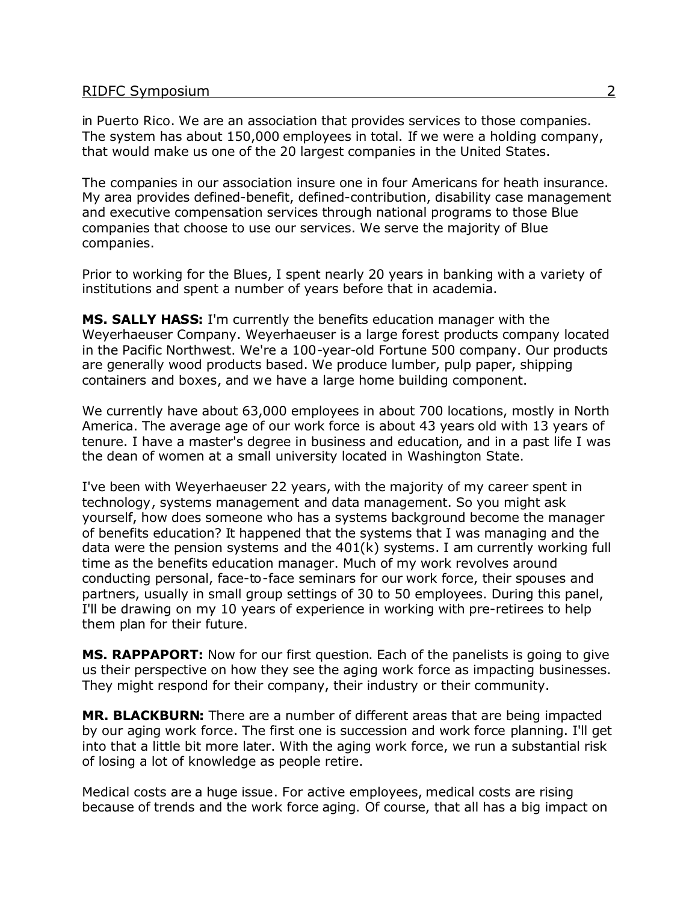### RIDFC Symposium 2

in Puerto Rico. We are an association that provides services to those companies. The system has about 150,000 employees in total. If we were a holding company, that would make us one of the 20 largest companies in the United States.

The companies in our association insure one in four Americans for heath insurance. My area provides defined-benefit, defined-contribution, disability case management and executive compensation services through national programs to those Blue companies that choose to use our services. We serve the majority of Blue companies.

Prior to working for the Blues, I spent nearly 20 years in banking with a variety of institutions and spent a number of years before that in academia.

**MS. SALLY HASS:** I'm currently the benefits education manager with the Weyerhaeuser Company. Weyerhaeuser is a large forest products company located in the Pacific Northwest. We're a 100-year-old Fortune 500 company. Our products are generally wood products based. We produce lumber, pulp paper, shipping containers and boxes, and we have a large home building component.

We currently have about 63,000 employees in about 700 locations, mostly in North America. The average age of our work force is about 43 years old with 13 years of tenure. I have a master's degree in business and education, and in a past life I was the dean of women at a small university located in Washington State.

I've been with Weyerhaeuser 22 years, with the majority of my career spent in technology, systems management and data management. So you might ask yourself, how does someone who has a systems background become the manager of benefits education? It happened that the systems that I was managing and the data were the pension systems and the 401(k) systems. I am currently working full time as the benefits education manager. Much of my work revolves around conducting personal, face-to-face seminars for our work force, their spouses and partners, usually in small group settings of 30 to 50 employees. During this panel, I'll be drawing on my 10 years of experience in working with pre-retirees to help them plan for their future.

**MS. RAPPAPORT:** Now for our first question. Each of the panelists is going to give us their perspective on how they see the aging work force as impacting businesses. They might respond for their company, their industry or their community.

**MR. BLACKBURN:** There are a number of different areas that are being impacted by our aging work force. The first one is succession and work force planning. I'll get into that a little bit more later. With the aging work force, we run a substantial risk of losing a lot of knowledge as people retire.

Medical costs are a huge issue. For active employees, medical costs are rising because of trends and the work force aging. Of course, that all has a big impact on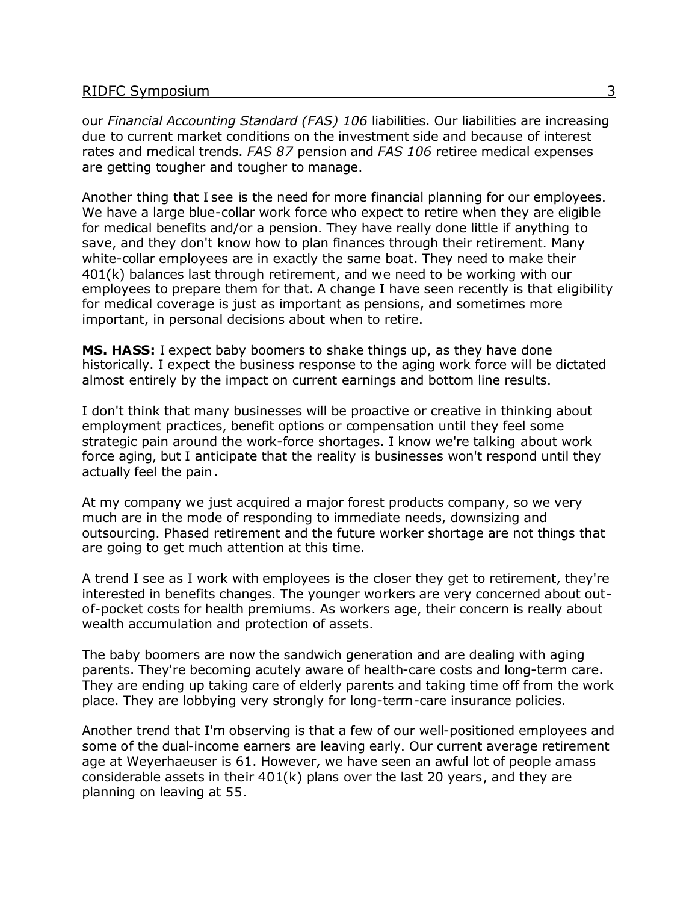### RIDFC Symposium 3

our *Financial Accounting Standard (FAS) 106* liabilities. Our liabilities are increasing due to current market conditions on the investment side and because of interest rates and medical trends. *FAS 87* pension and *FAS 106* retiree medical expenses are getting tougher and tougher to manage.

Another thing that I see is the need for more financial planning for our employees. We have a large blue-collar work force who expect to retire when they are eligible for medical benefits and/or a pension. They have really done little if anything to save, and they don't know how to plan finances through their retirement. Many white-collar employees are in exactly the same boat. They need to make their 401(k) balances last through retirement, and we need to be working with our employees to prepare them for that. A change I have seen recently is that eligibility for medical coverage is just as important as pensions, and sometimes more important, in personal decisions about when to retire.

**MS. HASS:** I expect baby boomers to shake things up, as they have done historically. I expect the business response to the aging work force will be dictated almost entirely by the impact on current earnings and bottom line results.

I don't think that many businesses will be proactive or creative in thinking about employment practices, benefit options or compensation until they feel some strategic pain around the work-force shortages. I know we're talking about work force aging, but I anticipate that the reality is businesses won't respond until they actually feel the pain.

At my company we just acquired a major forest products company, so we very much are in the mode of responding to immediate needs, downsizing and outsourcing. Phased retirement and the future worker shortage are not things that are going to get much attention at this time.

A trend I see as I work with employees is the closer they get to retirement, they're interested in benefits changes. The younger workers are very concerned about outof-pocket costs for health premiums. As workers age, their concern is really about wealth accumulation and protection of assets.

The baby boomers are now the sandwich generation and are dealing with aging parents. They're becoming acutely aware of health-care costs and long-term care. They are ending up taking care of elderly parents and taking time off from the work place. They are lobbying very strongly for long-term-care insurance policies.

Another trend that I'm observing is that a few of our well-positioned employees and some of the dual-income earners are leaving early. Our current average retirement age at Weyerhaeuser is 61. However, we have seen an awful lot of people amass considerable assets in their 401(k) plans over the last 20 years, and they are planning on leaving at 55.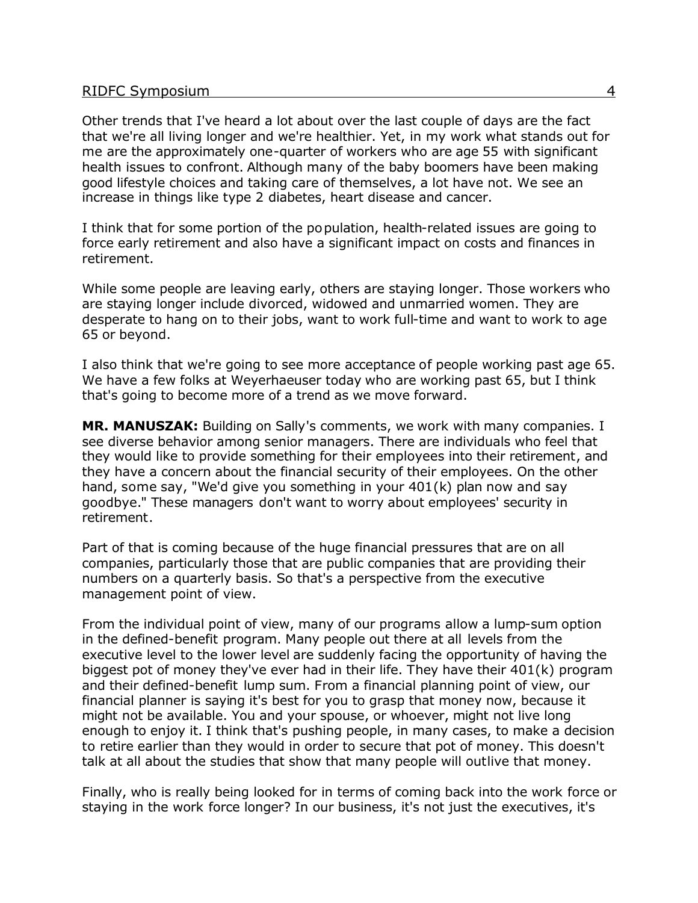#### RIDFC Symposium and the state of the state of the state of the state of the state of the state of the state of the state of the state of the state of the state of the state of the state of the state of the state of the sta

Other trends that I've heard a lot about over the last couple of days are the fact that we're all living longer and we're healthier. Yet, in my work what stands out for me are the approximately one-quarter of workers who are age 55 with significant health issues to confront. Although many of the baby boomers have been making good lifestyle choices and taking care of themselves, a lot have not. We see an increase in things like type 2 diabetes, heart disease and cancer.

I think that for some portion of the population, health-related issues are going to force early retirement and also have a significant impact on costs and finances in retirement.

While some people are leaving early, others are staying longer. Those workers who are staying longer include divorced, widowed and unmarried women. They are desperate to hang on to their jobs, want to work full-time and want to work to age 65 or beyond.

I also think that we're going to see more acceptance of people working past age 65. We have a few folks at Weyerhaeuser today who are working past 65, but I think that's going to become more of a trend as we move forward.

**MR. MANUSZAK:** Building on Sally's comments, we work with many companies. I see diverse behavior among senior managers. There are individuals who feel that they would like to provide something for their employees into their retirement, and they have a concern about the financial security of their employees. On the other hand, some say, "We'd give you something in your 401(k) plan now and say goodbye." These managers don't want to worry about employees' security in retirement.

Part of that is coming because of the huge financial pressures that are on all companies, particularly those that are public companies that are providing their numbers on a quarterly basis. So that's a perspective from the executive management point of view.

From the individual point of view, many of our programs allow a lump-sum option in the defined-benefit program. Many people out there at all levels from the executive level to the lower level are suddenly facing the opportunity of having the biggest pot of money they've ever had in their life. They have their 401(k) program and their defined-benefit lump sum. From a financial planning point of view, our financial planner is saying it's best for you to grasp that money now, because it might not be available. You and your spouse, or whoever, might not live long enough to enjoy it. I think that's pushing people, in many cases, to make a decision to retire earlier than they would in order to secure that pot of money. This doesn't talk at all about the studies that show that many people will outlive that money.

Finally, who is really being looked for in terms of coming back into the work force or staying in the work force longer? In our business, it's not just the executives, it's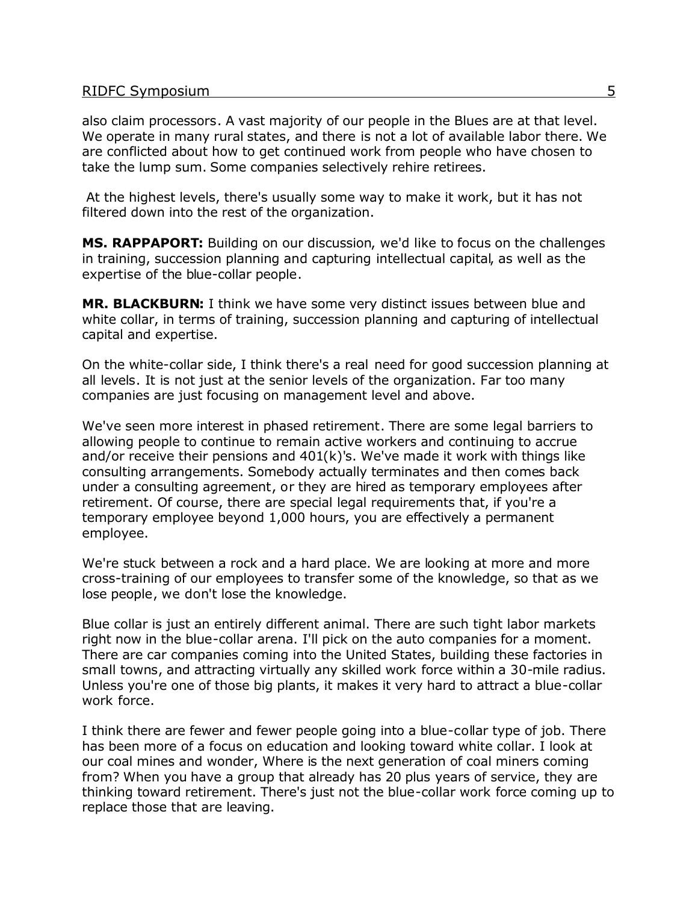### RIDFC Symposium 5

also claim processors. A vast majority of our people in the Blues are at that level. We operate in many rural states, and there is not a lot of available labor there. We are conflicted about how to get continued work from people who have chosen to take the lump sum. Some companies selectively rehire retirees.

At the highest levels, there's usually some way to make it work, but it has not filtered down into the rest of the organization.

**MS. RAPPAPORT:** Building on our discussion, we'd like to focus on the challenges in training, succession planning and capturing intellectual capital, as well as the expertise of the blue-collar people.

**MR. BLACKBURN:** I think we have some very distinct issues between blue and white collar, in terms of training, succession planning and capturing of intellectual capital and expertise.

On the white-collar side, I think there's a real need for good succession planning at all levels. It is not just at the senior levels of the organization. Far too many companies are just focusing on management level and above.

We've seen more interest in phased retirement. There are some legal barriers to allowing people to continue to remain active workers and continuing to accrue and/or receive their pensions and 401(k)'s. We've made it work with things like consulting arrangements. Somebody actually terminates and then comes back under a consulting agreement, or they are hired as temporary employees after retirement. Of course, there are special legal requirements that, if you're a temporary employee beyond 1,000 hours, you are effectively a permanent employee.

We're stuck between a rock and a hard place. We are looking at more and more cross-training of our employees to transfer some of the knowledge, so that as we lose people, we don't lose the knowledge.

Blue collar is just an entirely different animal. There are such tight labor markets right now in the blue-collar arena. I'll pick on the auto companies for a moment. There are car companies coming into the United States, building these factories in small towns, and attracting virtually any skilled work force within a 30-mile radius. Unless you're one of those big plants, it makes it very hard to attract a blue-collar work force.

I think there are fewer and fewer people going into a blue-collar type of job. There has been more of a focus on education and looking toward white collar. I look at our coal mines and wonder, Where is the next generation of coal miners coming from? When you have a group that already has 20 plus years of service, they are thinking toward retirement. There's just not the blue-collar work force coming up to replace those that are leaving.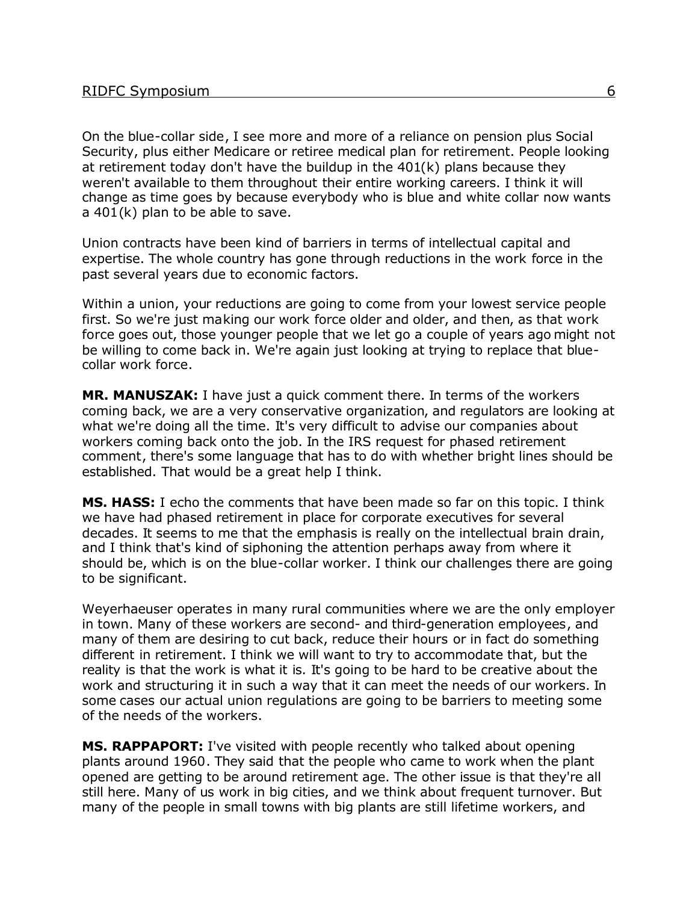On the blue-collar side, I see more and more of a reliance on pension plus Social Security, plus either Medicare or retiree medical plan for retirement. People looking at retirement today don't have the buildup in the 401(k) plans because they weren't available to them throughout their entire working careers. I think it will change as time goes by because everybody who is blue and white collar now wants a 401(k) plan to be able to save.

Union contracts have been kind of barriers in terms of intellectual capital and expertise. The whole country has gone through reductions in the work force in the past several years due to economic factors.

Within a union, your reductions are going to come from your lowest service people first. So we're just making our work force older and older, and then, as that work force goes out, those younger people that we let go a couple of years ago might not be willing to come back in. We're again just looking at trying to replace that bluecollar work force.

**MR. MANUSZAK:** I have just a quick comment there. In terms of the workers coming back, we are a very conservative organization, and regulators are looking at what we're doing all the time. It's very difficult to advise our companies about workers coming back onto the job. In the IRS request for phased retirement comment, there's some language that has to do with whether bright lines should be established. That would be a great help I think.

**MS. HASS:** I echo the comments that have been made so far on this topic. I think we have had phased retirement in place for corporate executives for several decades. It seems to me that the emphasis is really on the intellectual brain drain, and I think that's kind of siphoning the attention perhaps away from where it should be, which is on the blue-collar worker. I think our challenges there are going to be significant.

Weyerhaeuser operates in many rural communities where we are the only employer in town. Many of these workers are second- and third-generation employees, and many of them are desiring to cut back, reduce their hours or in fact do something different in retirement. I think we will want to try to accommodate that, but the reality is that the work is what it is. It's going to be hard to be creative about the work and structuring it in such a way that it can meet the needs of our workers. In some cases our actual union regulations are going to be barriers to meeting some of the needs of the workers.

**MS. RAPPAPORT:** I've visited with people recently who talked about opening plants around 1960. They said that the people who came to work when the plant opened are getting to be around retirement age. The other issue is that they're all still here. Many of us work in big cities, and we think about frequent turnover. But many of the people in small towns with big plants are still lifetime workers, and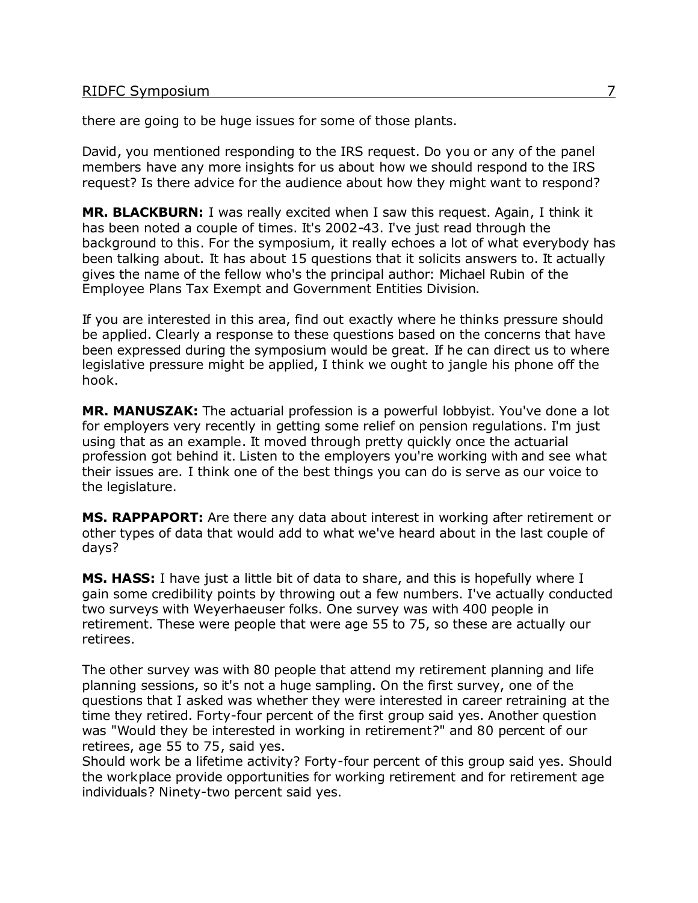there are going to be huge issues for some of those plants.

David, you mentioned responding to the IRS request. Do you or any of the panel members have any more insights for us about how we should respond to the IRS request? Is there advice for the audience about how they might want to respond?

**MR. BLACKBURN:** I was really excited when I saw this request. Again, I think it has been noted a couple of times. It's 2002-43. I've just read through the background to this. For the symposium, it really echoes a lot of what everybody has been talking about. It has about 15 questions that it solicits answers to. It actually gives the name of the fellow who's the principal author: Michael Rubin of the Employee Plans Tax Exempt and Government Entities Division.

If you are interested in this area, find out exactly where he thinks pressure should be applied. Clearly a response to these questions based on the concerns that have been expressed during the symposium would be great. If he can direct us to where legislative pressure might be applied, I think we ought to jangle his phone off the hook.

**MR. MANUSZAK:** The actuarial profession is a powerful lobbyist. You've done a lot for employers very recently in getting some relief on pension regulations. I'm just using that as an example. It moved through pretty quickly once the actuarial profession got behind it. Listen to the employers you're working with and see what their issues are. I think one of the best things you can do is serve as our voice to the legislature.

**MS. RAPPAPORT:** Are there any data about interest in working after retirement or other types of data that would add to what we've heard about in the last couple of days?

**MS. HASS:** I have just a little bit of data to share, and this is hopefully where I gain some credibility points by throwing out a few numbers. I've actually conducted two surveys with Weyerhaeuser folks. One survey was with 400 people in retirement. These were people that were age 55 to 75, so these are actually our retirees.

The other survey was with 80 people that attend my retirement planning and life planning sessions, so it's not a huge sampling. On the first survey, one of the questions that I asked was whether they were interested in career retraining at the time they retired. Forty-four percent of the first group said yes. Another question was "Would they be interested in working in retirement?" and 80 percent of our retirees, age 55 to 75, said yes.

Should work be a lifetime activity? Forty-four percent of this group said yes. Should the workplace provide opportunities for working retirement and for retirement age individuals? Ninety-two percent said yes.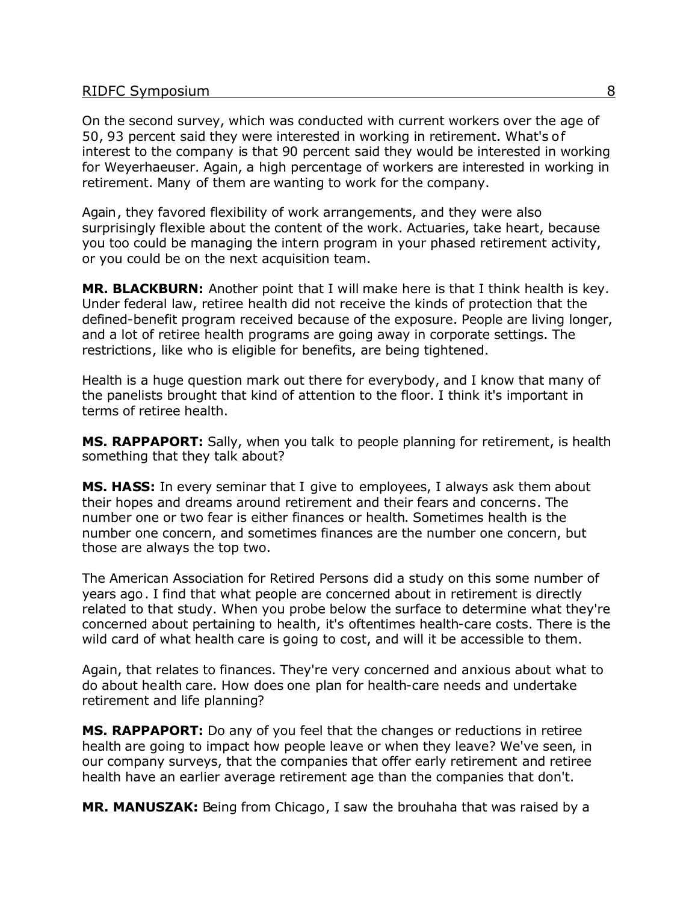On the second survey, which was conducted with current workers over the age of 50, 93 percent said they were interested in working in retirement. What's of interest to the company is that 90 percent said they would be interested in working for Weyerhaeuser. Again, a high percentage of workers are interested in working in retirement. Many of them are wanting to work for the company.

Again, they favored flexibility of work arrangements, and they were also surprisingly flexible about the content of the work. Actuaries, take heart, because you too could be managing the intern program in your phased retirement activity, or you could be on the next acquisition team.

**MR. BLACKBURN:** Another point that I will make here is that I think health is key. Under federal law, retiree health did not receive the kinds of protection that the defined-benefit program received because of the exposure. People are living longer, and a lot of retiree health programs are going away in corporate settings. The restrictions, like who is eligible for benefits, are being tightened.

Health is a huge question mark out there for everybody, and I know that many of the panelists brought that kind of attention to the floor. I think it's important in terms of retiree health.

**MS. RAPPAPORT:** Sally, when you talk to people planning for retirement, is health something that they talk about?

**MS. HASS:** In every seminar that I give to employees, I always ask them about their hopes and dreams around retirement and their fears and concerns. The number one or two fear is either finances or health. Sometimes health is the number one concern, and sometimes finances are the number one concern, but those are always the top two.

The American Association for Retired Persons did a study on this some number of years ago. I find that what people are concerned about in retirement is directly related to that study. When you probe below the surface to determine what they're concerned about pertaining to health, it's oftentimes health-care costs. There is the wild card of what health care is going to cost, and will it be accessible to them.

Again, that relates to finances. They're very concerned and anxious about what to do about health care. How does one plan for health-care needs and undertake retirement and life planning?

**MS. RAPPAPORT:** Do any of you feel that the changes or reductions in retiree health are going to impact how people leave or when they leave? We've seen, in our company surveys, that the companies that offer early retirement and retiree health have an earlier average retirement age than the companies that don't.

**MR. MANUSZAK:** Being from Chicago, I saw the brouhaha that was raised by a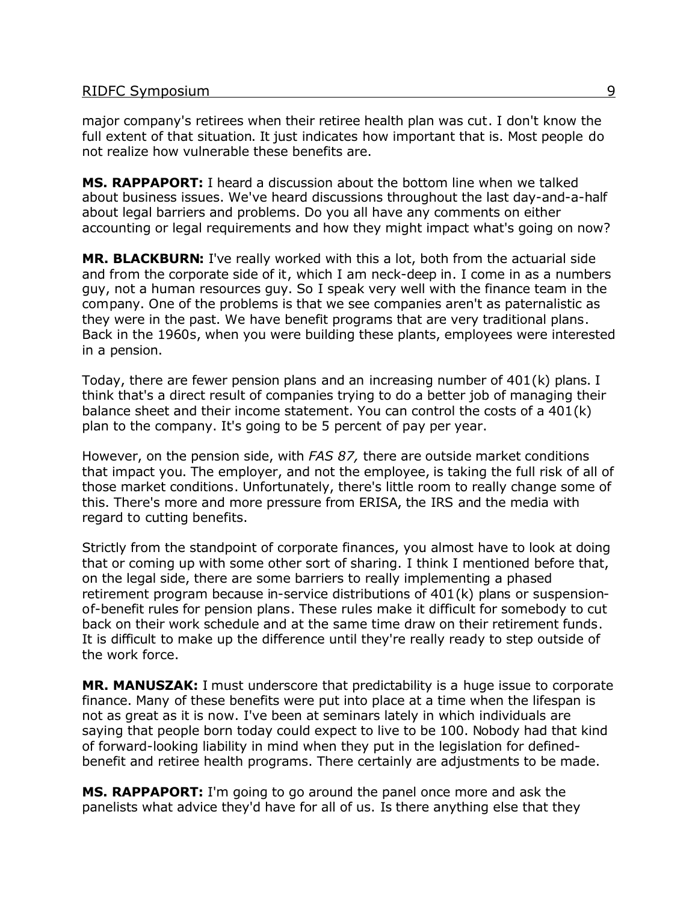major company's retirees when their retiree health plan was cut. I don't know the full extent of that situation. It just indicates how important that is. Most people do not realize how vulnerable these benefits are.

**MS. RAPPAPORT:** I heard a discussion about the bottom line when we talked about business issues. We've heard discussions throughout the last day-and-a-half about legal barriers and problems. Do you all have any comments on either accounting or legal requirements and how they might impact what's going on now?

**MR. BLACKBURN:** I've really worked with this a lot, both from the actuarial side and from the corporate side of it, which I am neck-deep in. I come in as a numbers guy, not a human resources guy. So I speak very well with the finance team in the company. One of the problems is that we see companies aren't as paternalistic as they were in the past. We have benefit programs that are very traditional plans. Back in the 1960s, when you were building these plants, employees were interested in a pension.

Today, there are fewer pension plans and an increasing number of 401(k) plans. I think that's a direct result of companies trying to do a better job of managing their balance sheet and their income statement. You can control the costs of a 401(k) plan to the company. It's going to be 5 percent of pay per year.

However, on the pension side, with *FAS 87,* there are outside market conditions that impact you. The employer, and not the employee, is taking the full risk of all of those market conditions. Unfortunately, there's little room to really change some of this. There's more and more pressure from ERISA, the IRS and the media with regard to cutting benefits.

Strictly from the standpoint of corporate finances, you almost have to look at doing that or coming up with some other sort of sharing. I think I mentioned before that, on the legal side, there are some barriers to really implementing a phased retirement program because in-service distributions of 401(k) plans or suspensionof-benefit rules for pension plans. These rules make it difficult for somebody to cut back on their work schedule and at the same time draw on their retirement funds. It is difficult to make up the difference until they're really ready to step outside of the work force.

**MR. MANUSZAK:** I must underscore that predictability is a huge issue to corporate finance. Many of these benefits were put into place at a time when the lifespan is not as great as it is now. I've been at seminars lately in which individuals are saying that people born today could expect to live to be 100. Nobody had that kind of forward-looking liability in mind when they put in the legislation for definedbenefit and retiree health programs. There certainly are adjustments to be made.

**MS. RAPPAPORT:** I'm going to go around the panel once more and ask the panelists what advice they'd have for all of us. Is there anything else that they